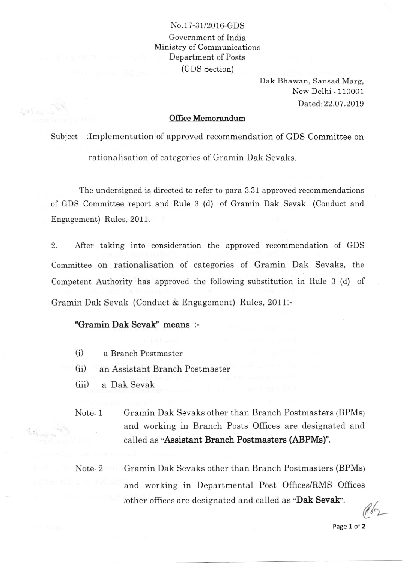## No.17-31/2016-GDS Government of India Ministry of Communications Department of Posts (GDS Section)

Dak Bhawan, Sansad Marg, New Delhi - 110001 Dated.:22.07.2019

## Office Memorandum

Subject :Implementation of approved recommendation of GDS Committee on rationalisation of categories of Gramin Dak Sevaks.

The undersigned is directed to refer to para 3.31 approved recommendations of GDS Committee report and Rule 3 (d) of Gramin Dak Sevak (Conduct and Engagement) Rules, 2011.

2. After taking into consideration the approved recommendation of GDS Committee on rationalisation of categories of Gramin Dak Sevaks, the Competent Authority has approved the following substitution in Rule 3 (d) of Gramin Dak Sevak (Conduct & Engagement) Rules, 2011:-

## "Gramin Dak Sevak" means :-

- $(i)$ a Branch Postmaster
- $(i)$ an Assistant Branch Postmaster
- $(iii)$ a Dak Sevak
- Note- 1 Gramin Dak Sevaks other than Branch Postmasters (BPMs) and working in Branch Posts Offices are designated and called as "Assistant Branch Postmasters (ABPMs)".

Gramin Dak Sevaks other than Branch Postmasters (BPMs) and working in Departmental Post Offices/RMS Offices other offices are designated and called as "Dak Sevak". Note- 2

 $\ell$